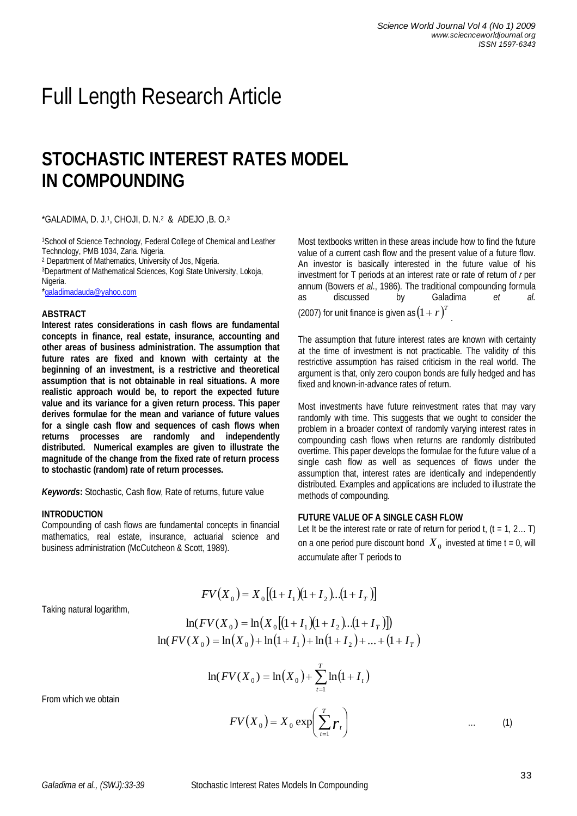# Full Length Research Article

# **STOCHASTIC INTEREST RATES MODEL IN COMPOUNDING**

\*GALADIMA, D. J.<sup>1</sup> , CHOJI, D. N.<sup>2</sup> & ADEJO ,B. O.<sup>3</sup>

1School of Science Technology, Federal College of Chemical and Leather Technology, PMB 1034, Zaria. Nigeria.

2 Department of Mathematics, University of Jos, Nigeria.

<sup>3</sup>Department of Mathematical Sciences, Kogi State University, Lokoja, Nigeria.

\*galadimadauda@yahoo.com

#### **ABSTRACT**

**Interest rates considerations in cash flows are fundamental concepts in finance, real estate, insurance, accounting and other areas of business administration. The assumption that future rates are fixed and known with certainty at the beginning of an investment, is a restrictive and theoretical assumption that is not obtainable in real situations. A more realistic approach would be, to report the expected future value and its variance for a given return process. This paper derives formulae for the mean and variance of future values for a single cash flow and sequences of cash flows when returns processes are randomly and independently distributed. Numerical examples are given to illustrate the magnitude of the change from the fixed rate of return process to stochastic (random) rate of return processes.** 

*Keywords***:** Stochastic, Cash flow, Rate of returns, future value

#### **INTRODUCTION**

Compounding of cash flows are fundamental concepts in financial mathematics, real estate, insurance, actuarial science and business administration (McCutcheon & Scott, 1989).

Most textbooks written in these areas include how to find the future value of a current cash flow and the present value of a future flow. An investor is basically interested in the future value of his investment for T periods at an interest rate or rate of return of *r* per annum (Bowers *et al*., 1986). The traditional compounding formula as discussed by Galadima *et al.*  (2007) for unit finance is given as  $(1+r)^T$  .

The assumption that future interest rates are known with certainty at the time of investment is not practicable. The validity of this restrictive assumption has raised criticism in the real world. The argument is that, only zero coupon bonds are fully hedged and has fixed and known-in-advance rates of return.

Most investments have future reinvestment rates that may vary randomly with time. This suggests that we ought to consider the problem in a broader context of randomly varying interest rates in compounding cash flows when returns are randomly distributed overtime. This paper develops the formulae for the future value of a single cash flow as well as sequences of flows under the assumption that, interest rates are identically and independently distributed. Examples and applications are included to illustrate the methods of compounding.

#### **FUTURE VALUE OF A SINGLE CASH FLOW**

Let It be the interest rate or rate of return for period  $t, (t = 1, 2... T)$ on a one period pure discount bond  $\left\langle X_0 \right\rangle$  invested at time t = 0, will accumulate after T periods to

Taking natural logarithm,

$$
FV(X_0) = X_0[(1 + I_1)(1 + I_2)...(1 + I_T)]
$$

$$
\ln(FV(X_0) = \ln(X_0[(1+I_1)(1+I_2)...(1+I_T)])
$$
  

$$
\ln(FV(X_0) = \ln(X_0) + \ln(1+I_1) + \ln(1+I_2) + ... + (1+I_T)
$$

*T*

$$
\ln(FV(X_0) = \ln(X_0) + \sum_{t=1}^{t} \ln(1 + I_t)
$$

$$
FV(X_0) = X_0 \exp\left(\sum_{t=1}^{T} r_t\right) \qquad \dots
$$

From which we obtain

 $(1)$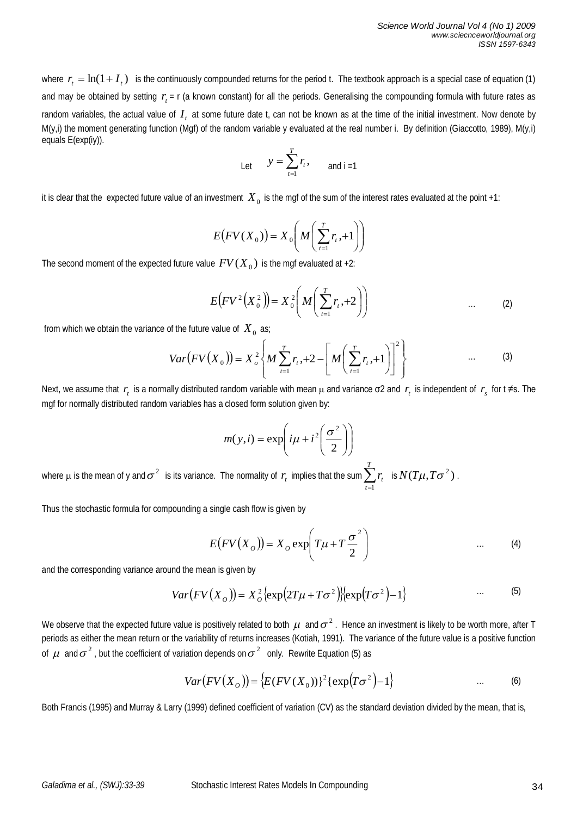where  $r_t = \ln(1 + I_t)$  is the continuously compounded returns for the period t. The textbook approach is a special case of equation (1) and may be obtained by setting  $r_{t}$  = r (a known constant) for all the periods. Generalising the compounding formula with future rates as random variables, the actual value of  $I_{_t}$  at some future date t, can not be known as at the time of the initial investment. Now denote by M(y,i) the moment generating function (Mgf) of the random variable y evaluated at the real number i. By definition (Giaccotto, 1989), M(y,i) equals E(exp(iy)).

Let 
$$
y = \sum_{t=1}^{T} r_t
$$
, and  $i = 1$ 

it is clear that the expected future value of an investment  $\,X_{\,0}\,$  is the mgf of the sum of the interest rates evaluated at the point +1:

$$
E(FV(X_0)) = X_0\left(M\left(\sum_{t=1}^T r_t, +1\right)\right)
$$

The second moment of the expected future value  $\mathit{FV}(X_0)$  is the mgf evaluated at +2:

$$
E(FV^{2}(X_{0}^{2})) = X_{0}^{2}\left(M\left(\sum_{t=1}^{T}r_{t}, +2\right)\right) \qquad \qquad \dots \qquad (2)
$$

from which we obtain the variance of the future value of  $X_0$  as;

$$
Var(FV(X_0)) = X_o^2 \left\{ M \sum_{t=1}^T r_t, +2 - \left[ M \left( \sum_{t=1}^T r_t, +1 \right) \right]^2 \right\} \qquad \qquad \dots \qquad (3)
$$

Next, we assume that  $r_t$  is a normally distributed random variable with mean  $\mu$  and variance  $\sigma$ 2 and  $r_t$  is independent of  $r_s$  for t  $\neq$ s. The mgf for normally distributed random variables has a closed form solution given by:

$$
m(y,i) = \exp\left(i\mu + i^2\left(\frac{\sigma^2}{2}\right)\right)
$$

where  $\mu$  is the mean of y and  $\sigma^2$  is its variance. The normality of  $r_{\rm r}$  implies that the sum  $\sum_{\rm r=1}^{T}$ *t t r* 1 is  $N(T\mu, T\sigma^2)$ .

Thus the stochastic formula for compounding a single cash flow is given by

$$
E(FV(XO)) = XO exp\left(T\mu + T\frac{\sigma^2}{2}\right)
$$
 (4)

and the corresponding variance around the mean is given by

$$
Var(FV(XO)) = XO2 \{ \exp(2T\mu + T\sigma2) \} \{ \exp(T\sigma2) - 1 \}
$$
 ... (5)

We observe that the expected future value is positively related to both  $\mu$  and  $\sigma^2$ . Hence an investment is likely to be worth more, after T periods as either the mean return or the variability of returns increases (Kotiah, 1991). The variance of the future value is a positive function of  $\mu$  and  $\sigma^2$ , but the coefficient of variation depends on  $\sigma^2$  only. Rewrite Equation (5) as

$$
Var(FV(XO)) = \{E(FV(XO))\}2 \{exp(T\sigma2) - 1\}
$$
 ... (6)

Both Francis (1995) and Murray & Larry (1999) defined coefficient of variation (CV) as the standard deviation divided by the mean, that is,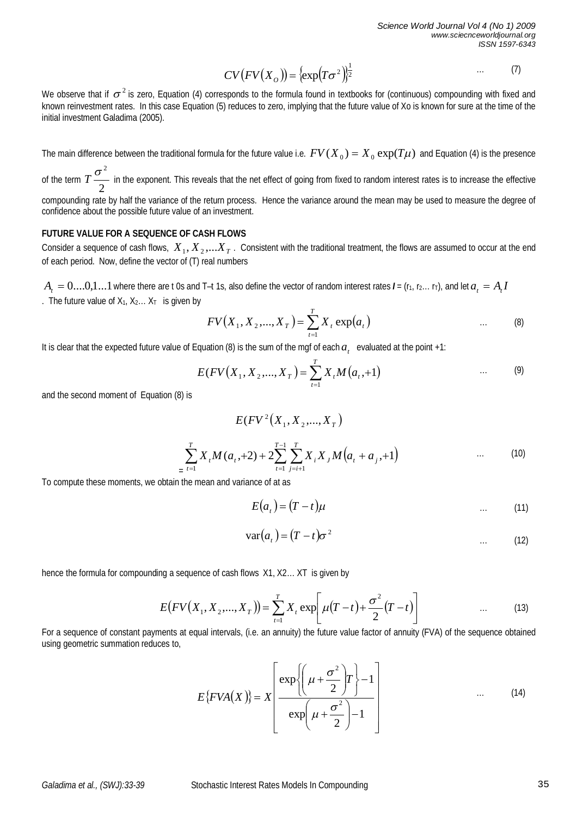$$
CV(FV(XO)) = \left\{ \exp\left(T\sigma^2\right) \right\}^{\frac{1}{2}} \tag{7}
$$

We observe that if  $\sigma^2$  is zero, Equation (4) corresponds to the formula found in textbooks for (continuous) compounding with fixed and known reinvestment rates. In this case Equation (5) reduces to zero, implying that the future value of Xo is known for sure at the time of the initial investment Galadima (2005).

The main difference between the traditional formula for the future value i.e.  $FV(X_0) = X_0 \exp(T\mu)$  and Equation (4) is the presence  $\sigma^2$ 

of the term 2  $T \rightarrow$  in the exponent. This reveals that the net effect of going from fixed to random interest rates is to increase the effective compounding rate by half the variance of the return process. Hence the variance around the mean may be used to measure the degree of

confidence about the possible future value of an investment.

#### **FUTURE VALUE FOR A SEQUENCE OF CASH FLOWS**

Consider a sequence of cash flows,  $\,X_{_1},X_{_2},...X_{_T}$  . Consistent with the traditional treatment, the flows are assumed to occur at the end of each period. Now, define the vector of (T) real numbers

 $A_t=0....0,1...1$  where there are t 0s and T–t 1s, also define the vector of random interest rates  $I$  = (r<sub>1</sub>, r<sub>2</sub>… r<sub>T</sub>), and let  $a_t=A_tI$ . The future value of  $X_1, X_2, \ldots X_T$  is given by

$$
FV(X_1, X_2, ..., X_T) = \sum_{t=1}^{T} X_t \exp(a_t)
$$
 ... (8)

It is clear that the expected future value of Equation (8) is the sum of the mgf of each  $a_t$  evaluated at the point +1:

$$
E(FV(X_1, X_2, ..., X_T)) = \sum_{t=1}^{T} X_t M(a_t, +1) \qquad \qquad \dots \qquad (9)
$$

and the second moment of Equation (8) is

$$
E(FV^{2}(X_{1}, X_{2},..., X_{T}))
$$
  

$$
\sum_{t=1}^{T} X_{t}M(a_{t},+2) + 2\sum_{t=1}^{T-1} \sum_{j=i+1}^{T} X_{i}X_{j}M(a_{t} + a_{j},+1)
$$
 ... (10)

To compute these moments, we obtain the mean and variance of at as

=

$$
E(at) = (T - t)\mu
$$
 (11)

$$
var(a_t) = (T - t)\sigma^2 \tag{12}
$$

hence the formula for compounding a sequence of cash flows X1, X2… XT is given by

$$
E(FV(X_1, X_2, ..., X_T)) = \sum_{t=1}^{T} X_t \exp\left[\mu(T-t) + \frac{\sigma^2}{2}(T-t)\right]
$$
 ... (13)

For a sequence of constant payments at equal intervals, (i.e. an annuity) the future value factor of annuity (FVA) of the sequence obtained using geometric summation reduces to,

$$
E\{FVA(X)\} = X \left[ \frac{\exp\left\{ \left( \mu + \frac{\sigma^2}{2} \right) T \right\} - 1}{\exp\left( \mu + \frac{\sigma^2}{2} \right) - 1} \right] \qquad \qquad \dots \qquad (14)
$$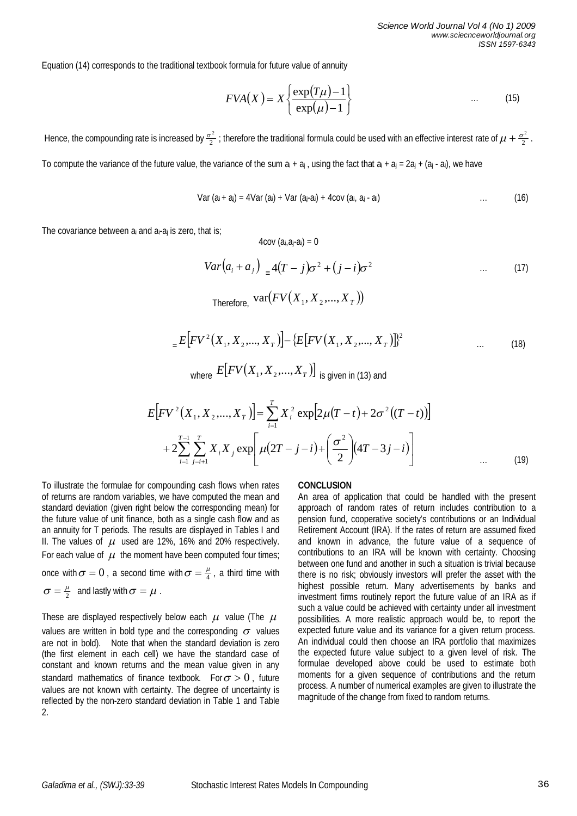Equation (14) corresponds to the traditional textbook formula for future value of annuity

$$
FVA(X) = X \left\{ \frac{\exp(T\mu) - 1}{\exp(\mu) - 1} \right\} \tag{15}
$$

Hence, the compounding rate is increased by  $\frac{\sigma^2}2$  ; therefore the traditional formula could be used with an effective interest rate of  $\mu+\frac{\sigma^2}2$  . To compute the variance of the future value, the variance of the sum  $a_i + a_j$ , using the fact that  $a_i + a_j = 2a_j + (a_j - a_i)$ , we have

 $4$ cov  $(a_i.a_i-a_i) = 0$ 

Var 
$$
(a_i + a_j)
$$
 = 4Var  $(a_j)$  + Var  $(a_j \cdot a_i)$  + 4cov  $(a_i, a_j \cdot a_i)$  ... (16)

The covariance between  $a_i$  and  $a_i$ - $a_i$  is zero, that is;

$$
Var\left(a_i + a_j\right)_{=4}(T - j)\sigma^2 + (j - i)\sigma^2 \qquad \qquad \dots \qquad (17)
$$
\n
$$
Therefore, \operatorname{var}(FV\left(X_1, X_2, \dots, X_T\right))
$$

$$
{}_{=}E\Big[FV^{2}\big(X_{1}, X_{2},..., X_{T}\big)\Big]-\{E\big[FV\big(X_{1}, X_{2},..., X_{T}\big)\]^{2}\Big\}
$$
 ... (18)  
where  $E\big[FV\big(X_{1}, X_{2},..., X_{T}\big)\big]$  is given in (13) and

$$
E\Big[ FV^2(X_1, X_2, ..., X_T) \Big] = \sum_{i=1}^T X_i^2 \exp\Big[ 2\mu (T - t) + 2\sigma^2 ((T - t)) \Big] + 2 \sum_{i=1}^{T-1} \sum_{j=i+1}^T X_i X_j \exp\Big[ \mu (2T - j - i) + \left( \frac{\sigma^2}{2} \right) (4T - 3j - i) \Big] \qquad \qquad (19)
$$

To illustrate the formulae for compounding cash flows when rates of returns are random variables, we have computed the mean and standard deviation (given right below the corresponding mean) for the future value of unit finance, both as a single cash flow and as an annuity for T periods. The results are displayed in Tables I and II. The values of  $\mu$  used are 12%, 16% and 20% respectively. For each value of  $\mu$  the moment have been computed four times; once with  $\sigma = 0$  , a second time with  $\sigma = \frac{\mu}{4}$ , a third time with  $\sigma = \frac{\mu}{2}$  and lastly with  $\sigma = \mu$ .

These are displayed respectively below each  $\mu$  value (The  $\mu$ values are written in bold type and the corresponding  $\sigma$  values are not in bold). Note that when the standard deviation is zero (the first element in each cell) we have the standard case of constant and known returns and the mean value given in any standard mathematics of finance textbook. For  $\sigma > 0$ , future values are not known with certainty. The degree of uncertainty is reflected by the non-zero standard deviation in Table 1 and Table 2.

### **CONCLUSION**

An area of application that could be handled with the present approach of random rates of return includes contribution to a pension fund, cooperative society's contributions or an Individual Retirement Account (IRA). If the rates of return are assumed fixed and known in advance, the future value of a sequence of contributions to an IRA will be known with certainty. Choosing between one fund and another in such a situation is trivial because there is no risk; obviously investors will prefer the asset with the highest possible return. Many advertisements by banks and investment firms routinely report the future value of an IRA as if such a value could be achieved with certainty under all investment possibilities. A more realistic approach would be, to report the expected future value and its variance for a given return process. An individual could then choose an IRA portfolio that maximizes the expected future value subject to a given level of risk. The formulae developed above could be used to estimate both moments for a given sequence of contributions and the return process. A number of numerical examples are given to illustrate the magnitude of the change from fixed to random returns.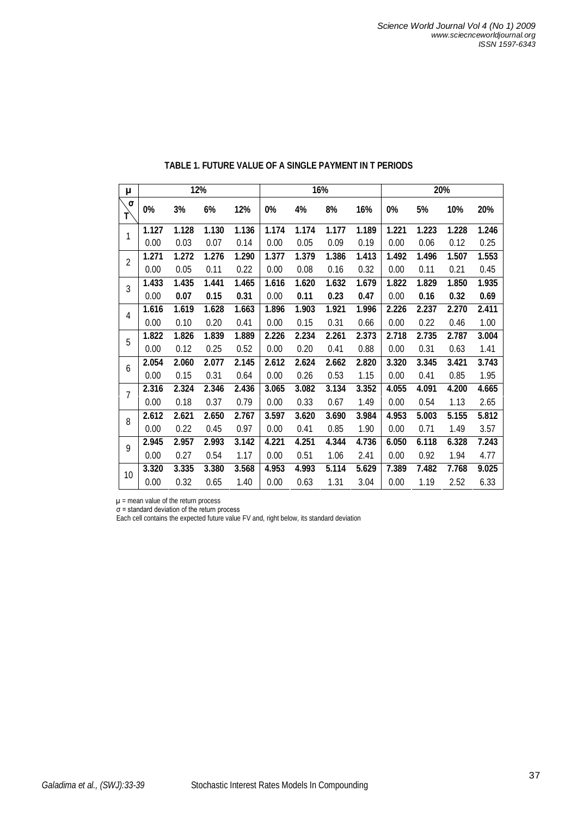| μ              | 12%   |       |       |       | 16%   |       |       |       | 20%   |       |       |       |
|----------------|-------|-------|-------|-------|-------|-------|-------|-------|-------|-------|-------|-------|
| $\sigma$<br>T  | 0%    | 3%    | 6%    | 12%   | 0%    | 4%    | 8%    | 16%   | 0%    | 5%    | 10%   | 20%   |
| 1              | 1.127 | 1.128 | 1.130 | 1.136 | 1.174 | 1.174 | 1.177 | 1.189 | 1.221 | 1.223 | 1.228 | 1.246 |
|                | 0.00  | 0.03  | 0.07  | 0.14  | 0.00  | 0.05  | 0.09  | 0.19  | 0.00  | 0.06  | 0.12  | 0.25  |
| $\overline{2}$ | 1.271 | 1.272 | 1.276 | 1.290 | 1.377 | 1.379 | 1.386 | 1.413 | 1.492 | 1.496 | 1.507 | 1.553 |
|                | 0.00  | 0.05  | 0.11  | 0.22  | 0.00  | 0.08  | 0.16  | 0.32  | 0.00  | 0.11  | 0.21  | 0.45  |
| 3              | 1.433 | 1.435 | 1.441 | 1.465 | 1.616 | 1.620 | 1.632 | 1.679 | 1.822 | 1.829 | 1.850 | 1.935 |
|                | 0.00  | 0.07  | 0.15  | 0.31  | 0.00  | 0.11  | 0.23  | 0.47  | 0.00  | 0.16  | 0.32  | 0.69  |
| 4              | 1.616 | 1.619 | 1.628 | 1.663 | 1.896 | 1.903 | 1.921 | 1.996 | 2.226 | 2.237 | 2.270 | 2.411 |
|                | 0.00  | 0.10  | 0.20  | 0.41  | 0.00  | 0.15  | 0.31  | 0.66  | 0.00  | 0.22  | 0.46  | 1.00  |
| 5              | 1.822 | 1.826 | 1.839 | 1.889 | 2.226 | 2.234 | 2.261 | 2.373 | 2.718 | 2.735 | 2.787 | 3.004 |
|                | 0.00  | 0.12  | 0.25  | 0.52  | 0.00  | 0.20  | 0.41  | 0.88  | 0.00  | 0.31  | 0.63  | 1.41  |
| 6              | 2.054 | 2.060 | 2.077 | 2.145 | 2.612 | 2.624 | 2.662 | 2.820 | 3.320 | 3.345 | 3.421 | 3.743 |
|                | 0.00  | 0.15  | 0.31  | 0.64  | 0.00  | 0.26  | 0.53  | 1.15  | 0.00  | 0.41  | 0.85  | 1.95  |
| $\overline{7}$ | 2.316 | 2.324 | 2.346 | 2.436 | 3.065 | 3.082 | 3.134 | 3.352 | 4.055 | 4.091 | 4.200 | 4.665 |
|                | 0.00  | 0.18  | 0.37  | 0.79  | 0.00  | 0.33  | 0.67  | 1.49  | 0.00  | 0.54  | 1.13  | 2.65  |
| 8              | 2.612 | 2.621 | 2.650 | 2.767 | 3.597 | 3.620 | 3.690 | 3.984 | 4.953 | 5.003 | 5.155 | 5.812 |
|                | 0.00  | 0.22  | 0.45  | 0.97  | 0.00  | 0.41  | 0.85  | 1.90  | 0.00  | 0.71  | 1.49  | 3.57  |
| 9              | 2.945 | 2.957 | 2.993 | 3.142 | 4.221 | 4.251 | 4.344 | 4.736 | 6.050 | 6.118 | 6.328 | 7.243 |
|                | 0.00  | 0.27  | 0.54  | 1.17  | 0.00  | 0.51  | 1.06  | 2.41  | 0.00  | 0.92  | 1.94  | 4.77  |
| 10             | 3.320 | 3.335 | 3.380 | 3.568 | 4.953 | 4.993 | 5.114 | 5.629 | 7.389 | 7.482 | 7.768 | 9.025 |
|                | 0.00  | 0.32  | 0.65  | 1.40  | 0.00  | 0.63  | 1.31  | 3.04  | 0.00  | 1.19  | 2.52  | 6.33  |

# **TABLE 1. FUTURE VALUE OF A SINGLE PAYMENT IN T PERIODS**

µ = mean value of the return process

σ = standard deviation of the return process

Each cell contains the expected future value FV and, right below, its standard deviation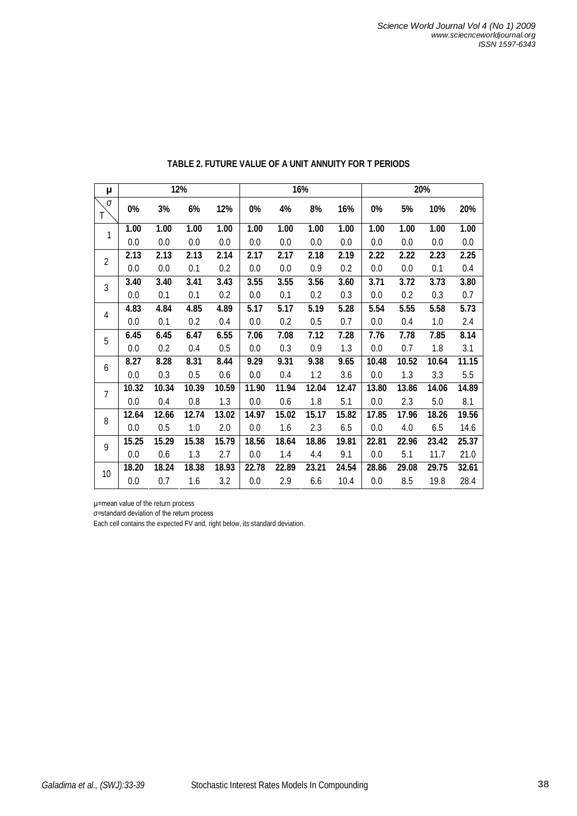| μ              | 12%   |       |       |       | 16%     |       |       |       | 20%   |       |       |       |  |
|----------------|-------|-------|-------|-------|---------|-------|-------|-------|-------|-------|-------|-------|--|
| σ<br>Τ         | 0%    | 3%    | 6%    | 12%   | 0%      | 4%    | 8%    | 16%   | 0%    | 5%    | 10%   | 20%   |  |
| 1              | 1.00  | 1.00  | 1.00  | 1.00  | 1.00    | 1.00  | 1.00  | 1.00  | 1.00  | 1.00  | 1.00  | 1.00  |  |
|                | 0.0   | 0.0   | 0.0   | 0.0   | 0.0     | 0.0   | 0.0   | 0.0   | 0.0   | 0.0   | 0.0   | 0.0   |  |
| $\overline{2}$ | 2.13  | 2.13  | 2.13  | 2.14  | 2.17    | 2.17  | 2.18  | 2.19  | 2.22  | 2.22  | 2.23  | 2.25  |  |
|                | 0.0   | 0.0   | 0.1   | 0.2   | 0.0     | 0.0   | 0.9   | 0.2   | 0.0   | 0.0   | 0.1   | 0.4   |  |
| 3              | 3.40  | 3.40  | 3.41  | 3.43  | 3.55    | 3.55  | 3.56  | 3.60  | 3.71  | 3.72  | 3.73  | 3.80  |  |
|                | 0.0   | 0.1   | 0.1   | 0.2   | 0.0     | 0.1   | 0.2   | 0.3   | 0.0   | 0.2   | 0.3   | 0.7   |  |
| 4              | 4.83  | 4.84  | 4.85  | 4.89  | 5.17    | 5.17  | 5.19  | 5.28  | 5.54  | 5.55  | 5.58  | 5.73  |  |
|                | 0.0   | 0.1   | 0.2   | 0.4   | 0.0     | 0.2   | 0.5   | 0.7   | 0.0   | 0.4   | 1.0   | 2.4   |  |
| 5              | 6.45  | 6.45  | 6.47  | 6.55  | 7.06    | 7.08  | 7.12  | 7.28  | 7.76  | 7.78  | 7.85  | 8.14  |  |
|                | 0.0   | 0.2   | 0.4   | 0.5   | 0.0     | 0.3   | 0.9   | 1.3   | 0.0   | 0.7   | 1.8   | 3.1   |  |
| 6              | 8.27  | 8.28  | 8.31  | 8.44  | 9.29    | 9.31  | 9.38  | 9.65  | 10.48 | 10.52 | 10.64 | 11.15 |  |
|                | 0.0   | 0.3   | 0.5   | 0.6   | 0.0     | 0.4   | 1.2   | 3.6   | 0.0   | 1.3   | 3.3   | 5.5   |  |
| $\overline{7}$ | 10.32 | 10.34 | 10.39 | 10.59 | 11.90   | 11.94 | 12.04 | 12.47 | 13.80 | 13.86 | 14.06 | 14.89 |  |
|                | 0.0   | 0.4   | 0.8   | 1.3   | $0.0\,$ | 0.6   | 1.8   | 5.1   | 0.0   | 2.3   | 5.0   | 8.1   |  |
| 8              | 12.64 | 12.66 | 12.74 | 13.02 | 14.97   | 15.02 | 15.17 | 15.82 | 17.85 | 17.96 | 18.26 | 19.56 |  |
|                | 0.0   | 0.5   | 1.0   | 2.0   | 0.0     | 1.6   | 2.3   | 6.5   | 0.0   | 4.0   | 6.5   | 14.6  |  |
| 9              | 15.25 | 15.29 | 15.38 | 15.79 | 18.56   | 18.64 | 18.86 | 19.81 | 22.81 | 22.96 | 23.42 | 25.37 |  |
|                | 0.0   | 0.6   | 1.3   | 2.7   | 0.0     | 1.4   | 4.4   | 9.1   | 0.0   | 5.1   | 11.7  | 21.0  |  |
| 10             | 18.20 | 18.24 | 18.38 | 18.93 | 22.78   | 22.89 | 23.21 | 24.54 | 28.86 | 29.08 | 29.75 | 32.61 |  |
|                | 0.0   | 0.7   | 1.6   | 3.2   | 0.0     | 2.9   | 6.6   | 10.4  | 0.0   | 8.5   | 19.8  | 28.4  |  |

## **TABLE 2. FUTURE VALUE OF A UNIT ANNUITY FOR T PERIODS**

µ=mean value of the return process

σ=standard deviation of the return process

Each cell contains the expected FV and, right below, its standard deviation.